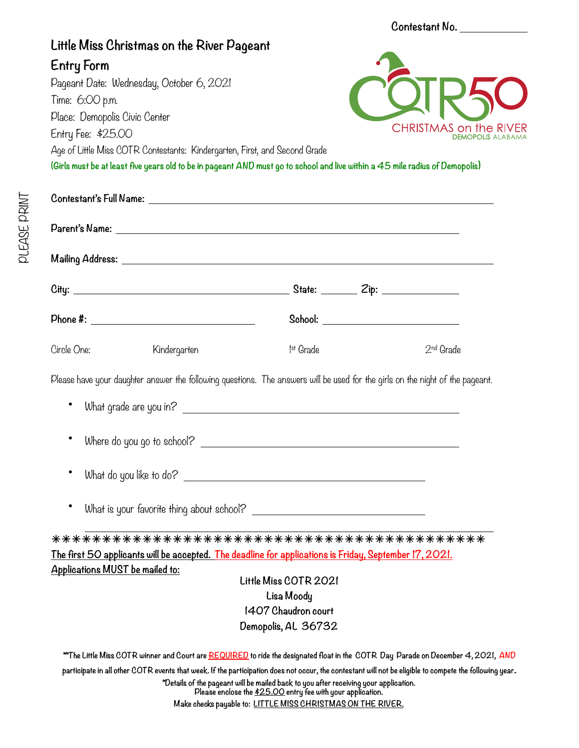|                                                                                                                                                                                                            |                                   | Contestant No.        |                                                                                                                               |  |
|------------------------------------------------------------------------------------------------------------------------------------------------------------------------------------------------------------|-----------------------------------|-----------------------|-------------------------------------------------------------------------------------------------------------------------------|--|
| Little Miss Christmas on the River Pageant                                                                                                                                                                 |                                   |                       |                                                                                                                               |  |
| <b>Entry Form</b>                                                                                                                                                                                          |                                   |                       |                                                                                                                               |  |
| Pageant Date: Wednesday, October 6, 2021                                                                                                                                                                   |                                   |                       |                                                                                                                               |  |
| Time: 6:00 p.m.                                                                                                                                                                                            |                                   |                       |                                                                                                                               |  |
| Place: Demopolis Civic Center                                                                                                                                                                              |                                   |                       | CHRISTMAS on the RI                                                                                                           |  |
| Entry Fee: \$25.00                                                                                                                                                                                         |                                   |                       | <b>DEMOPOLIS ALABAM/</b>                                                                                                      |  |
| Age of Little Miss COTR Contestants: Kindergarten, First, and Second Grade<br>(Girls must be at least five years old to be in pageant AND must go to school and live within a 45 mile radius of Demopolis) |                                   |                       |                                                                                                                               |  |
|                                                                                                                                                                                                            |                                   |                       |                                                                                                                               |  |
|                                                                                                                                                                                                            |                                   |                       |                                                                                                                               |  |
|                                                                                                                                                                                                            |                                   |                       |                                                                                                                               |  |
|                                                                                                                                                                                                            |                                   |                       |                                                                                                                               |  |
|                                                                                                                                                                                                            |                                   |                       |                                                                                                                               |  |
|                                                                                                                                                                                                            |                                   |                       |                                                                                                                               |  |
| Circle One:<br>Kindergarten                                                                                                                                                                                |                                   | 1 <sup>st</sup> Grade | 2 <sup>nd</sup> Grade                                                                                                         |  |
|                                                                                                                                                                                                            |                                   |                       | Please have your daughter answer the following questions. The answers will be used for the girls on the night of the pageant. |  |
|                                                                                                                                                                                                            |                                   |                       |                                                                                                                               |  |
|                                                                                                                                                                                                            |                                   |                       |                                                                                                                               |  |
| Where do you go to school?                                                                                                                                                                                 |                                   |                       |                                                                                                                               |  |
|                                                                                                                                                                                                            | What do you like to do?           |                       |                                                                                                                               |  |
|                                                                                                                                                                                                            |                                   |                       |                                                                                                                               |  |
|                                                                                                                                                                                                            |                                   |                       |                                                                                                                               |  |
| <u>The first 50 applicants will be accepted. The deadline for applications is Friday, September 17, 2021.</u>                                                                                              |                                   |                       |                                                                                                                               |  |
| Applications MUST be mailed to:                                                                                                                                                                            |                                   |                       |                                                                                                                               |  |
|                                                                                                                                                                                                            | Little Miss COTR 2021             |                       |                                                                                                                               |  |
|                                                                                                                                                                                                            |                                   |                       |                                                                                                                               |  |
|                                                                                                                                                                                                            | Lisa Moody<br>1407 Chaudron court |                       |                                                                                                                               |  |

**PLEASE PRINT** PLEASE PRINT

> **participate in all other COTR events that week. If the participation does not occur, the contestant will not be eligible to compete the following year. \*Details of the pageant will be mailed back to you after receiving your application.**

> > **Please enclose the \$25.00 entry fee with your application. Make checks payable to: LITTLE MISS CHRISTMAS ON THE RIVER.**